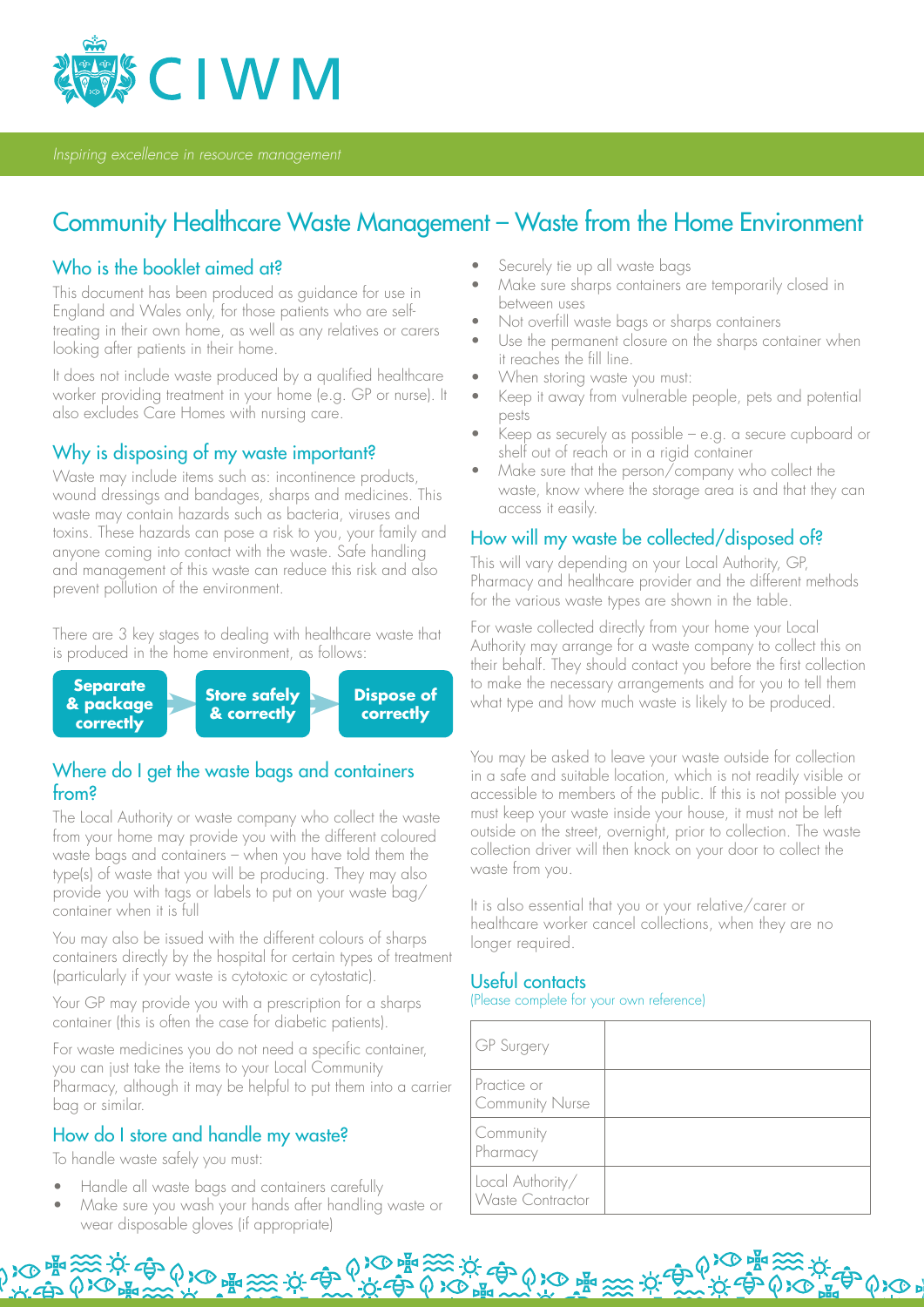

*Inspiring excellence in resource management*

# Community Healthcare Waste Management – Waste from the Home Environment

### Who is the booklet aimed at?

This document has been produced as guidance for use in England and Wales only, for those patients who are selftreating in their own home, as well as any relatives or carers looking after patients in their home.

It does not include waste produced by a qualified healthcare worker providing treatment in your home (e.g. GP or nurse). It also excludes Care Homes with nursing care.

### Why is disposing of my waste important?

Waste may include items such as: incontinence products, wound dressings and bandages, sharps and medicines. This waste may contain hazards such as bacteria, viruses and toxins. These hazards can pose a risk to you, your family and anyone coming into contact with the waste. Safe handling and management of this waste can reduce this risk and also prevent pollution of the environment.

There are 3 key stages to dealing with healthcare waste that is produced in the home environment, as follows:



## Where do I get the waste bags and containers from?

The Local Authority or waste company who collect the waste from your home may provide you with the different coloured waste bags and containers – when you have told them the type(s) of waste that you will be producing. They may also provide you with tags or labels to put on your waste bag/ container when it is full

You may also be issued with the different colours of sharps containers directly by the hospital for certain types of treatment (particularly if your waste is cytotoxic or cytostatic).

Your GP may provide you with a prescription for a sharps container (this is often the case for diabetic patients).

For waste medicines you do not need a specific container, you can just take the items to your Local Community Pharmacy, although it may be helpful to put them into a carrier bag or similar.

## How do I store and handle my waste?

To handle waste safely you must:

- Handle all waste bags and containers carefully
- Make sure you wash your hands after handling waste or wear disposable gloves (if appropriate)

A RO FOR SOME SOME SOME OF THE SOLO PRESS.

- Securely tie up all waste bags
- Make sure sharps containers are temporarily closed in between uses
- Not overfill waste bags or sharps containers
- Use the permanent closure on the sharps container when it reaches the fill line.
- When storing waste you must:
- Keep it away from vulnerable people, pets and potential pests
- Keep as securely as possible e.g. a secure cupboard or shelf out of reach or in a rigid container
- Make sure that the person/company who collect the waste, know where the storage area is and that they can access it easily.

## How will my waste be collected/disposed of?

This will vary depending on your Local Authority, GP, Pharmacy and healthcare provider and the different methods for the various waste types are shown in the table.

For waste collected directly from your home your Local Authority may arrange for a waste company to collect this on their behalf. They should contact you before the first collection to make the necessary arrangements and for you to tell them what type and how much waste is likely to be produced.

You may be asked to leave your waste outside for collection in a safe and suitable location, which is not readily visible or accessible to members of the public. If this is not possible you must keep your waste inside your house, it must not be left outside on the street, overnight, prior to collection. The waste collection driver will then knock on your door to collect the waste from you.

It is also essential that you or your relative/carer or healthcare worker cancel collections, when they are no longer required.

## Useful contacts

(Please complete for your own reference)

**ごがずめる 電 淡 が食** 

| GP Surgery                                  |  |
|---------------------------------------------|--|
| Practice or<br><b>Community Nurse</b>       |  |
| <b>Community</b><br>Pharmacy                |  |
| Local Authority/<br><b>Waste Contractor</b> |  |